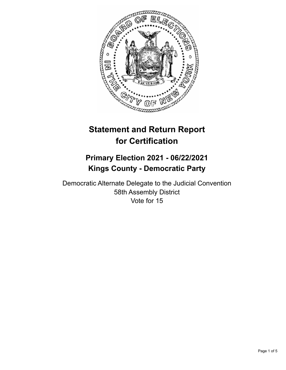

# **Statement and Return Report for Certification**

## **Primary Election 2021 - 06/22/2021 Kings County - Democratic Party**

Democratic Alternate Delegate to the Judicial Convention 58th Assembly District Vote for 15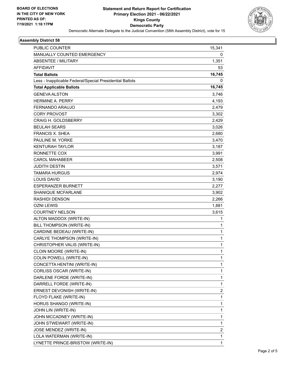

#### **Assembly District 58**

| PUBLIC COUNTER                                           | 15,341       |
|----------------------------------------------------------|--------------|
| MANUALLY COUNTED EMERGENCY                               | 0            |
| <b>ABSENTEE / MILITARY</b>                               | 1,351        |
| <b>AFFIDAVIT</b>                                         | 53           |
| <b>Total Ballots</b>                                     | 16,745       |
| Less - Inapplicable Federal/Special Presidential Ballots | 0            |
| <b>Total Applicable Ballots</b>                          | 16,745       |
| <b>GENEVA ALSTON</b>                                     | 3,746        |
| <b>HERMINE A. PERRY</b>                                  | 4,193        |
| FERNANDO ARAUJO                                          | 2,479        |
| <b>CORY PROVOST</b>                                      | 3,302        |
| <b>CRAIG H. GOLDSBERRY</b>                               | 2,429        |
| <b>BEULAH SEARS</b>                                      | 3,026        |
| <b>FRANCIS X. SHEA</b>                                   | 2,680        |
| PAULINE M. YORKE                                         | 3,470        |
| KENTURAH TAYLOR                                          | 3,187        |
| RONNETTE COX                                             | 3,991        |
| <b>CAROL MAHABEER</b>                                    | 2,508        |
| JUDITH DESTIN                                            | 3,571        |
| TAMARA HURGUS                                            | 2,974        |
| <b>LOUIS DAVID</b>                                       | 3,190        |
| ESPERANZER BURNETT                                       | 2,277        |
| <b>SHANIQUE MCFARLANE</b>                                | 3,902        |
| <b>RASHIDI DENSON</b>                                    | 2,266        |
| OZNI LEWIS                                               | 1,881        |
| <b>COURTNEY NELSON</b>                                   | 3,615        |
| ALTON MADDOX (WRITE-IN)                                  | 1            |
| BILL THOMPSON (WRITE-IN)                                 | 1            |
| CARDINE BEDEAU (WRITE-IN)                                | $\mathbf{1}$ |
| CARLYE THOMPSON (WRITE-IN)                               | $\mathbf{1}$ |
| CHRISTOPHER VALIS (WRITE-IN)                             | $\mathbf{1}$ |
| CLOIN MOORE (WRITE-IN)                                   | 1            |
| COLIN POWELL (WRITE-IN)                                  | 1            |
| CONCETTA HENTINI (WRITE-IN)                              | $\mathbf{1}$ |
| CORLISS OSCAR (WRITE-IN)                                 | 1            |
| DARLENE FORDE (WRITE-IN)                                 | 1            |
| DARRELL FORDE (WRITE-IN)                                 | 1            |
| ERNEST DEVONISH (WRITE-IN)                               | 2            |
| FLOYD FLAKE (WRITE-IN)                                   | $\mathbf{1}$ |
| HORUS SHANGO (WRITE-IN)                                  | $\mathbf{1}$ |
| JOHN LIN (WRITE-IN)                                      | 1            |
| JOHN MCCADNEY (WRITE-IN)                                 | $\mathbf{1}$ |
| JOHN STWEWART (WRITE-IN)                                 | 1            |
| JOSE MENDEZ (WRITE-IN)                                   | 2            |
| LOLA WATERMAN (WRITE-IN)                                 | 1            |
| LYNETTE PRINCE-BRISTOW (WRITE-IN)                        | $\mathbf{1}$ |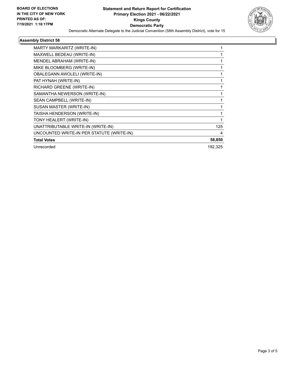

#### **Assembly District 58**

| MARTY MARKARITZ (WRITE-IN)                |         |
|-------------------------------------------|---------|
| MAXWELL BEDEAU (WRITE-IN)                 |         |
| MENDEL ABRAHAM (WRITE-IN)                 |         |
| MIKE BLOOMBERG (WRITE-IN)                 |         |
| OBALEGANN AWOLELI (WRITE-IN)              |         |
| PAT HYNAH (WRITE-IN)                      |         |
| RICHARD GREENE (WRITE-IN)                 |         |
| SAMANTHA NEWERSON (WRITE-IN)              |         |
| SEAN CAMPBELL (WRITE-IN)                  |         |
| SUSAN MASTER (WRITE-IN)                   |         |
| TAISHA HENDERSON (WRITE-IN)               | 1       |
| TONY HEALERT (WRITE-IN)                   |         |
| UNATTRIBUTABLE WRITE-IN (WRITE-IN)        | 125     |
| UNCOUNTED WRITE-IN PER STATUTE (WRITE-IN) | 4       |
| <b>Total Votes</b>                        | 58,850  |
| Unrecorded                                | 192,325 |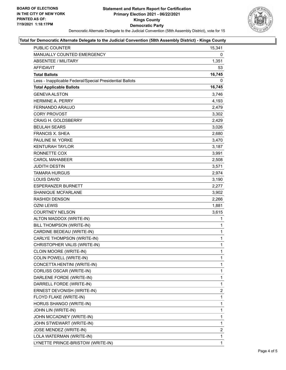

#### **Total for Democratic Alternate Delegate to the Judicial Convention (58th Assembly District) - Kings County**

| <b>PUBLIC COUNTER</b>                                    | 15,341       |
|----------------------------------------------------------|--------------|
| MANUALLY COUNTED EMERGENCY                               | 0            |
| ABSENTEE / MILITARY                                      | 1,351        |
| <b>AFFIDAVIT</b>                                         | 53           |
| <b>Total Ballots</b>                                     | 16,745       |
| Less - Inapplicable Federal/Special Presidential Ballots | 0            |
| <b>Total Applicable Ballots</b>                          | 16,745       |
| <b>GENEVA ALSTON</b>                                     | 3,746        |
| <b>HERMINE A. PERRY</b>                                  | 4,193        |
| FERNANDO ARAUJO                                          | 2,479        |
| <b>CORY PROVOST</b>                                      | 3,302        |
| <b>CRAIG H. GOLDSBERRY</b>                               | 2,429        |
| <b>BEULAH SEARS</b>                                      | 3,026        |
| <b>FRANCIS X. SHEA</b>                                   | 2,680        |
| PAULINE M. YORKE                                         | 3,470        |
| <b>KENTURAH TAYLOR</b>                                   | 3,187        |
| RONNETTE COX                                             | 3,991        |
| <b>CAROL MAHABEER</b>                                    | 2,508        |
| <b>JUDITH DESTIN</b>                                     | 3,571        |
| <b>TAMARA HURGUS</b>                                     | 2,974        |
| <b>LOUIS DAVID</b>                                       | 3,190        |
| <b>ESPERANZER BURNETT</b>                                | 2,277        |
| SHANIQUE MCFARLANE                                       | 3,902        |
| <b>RASHIDI DENSON</b>                                    | 2,266        |
| <b>OZNI LEWIS</b>                                        | 1,881        |
| <b>COURTNEY NELSON</b>                                   | 3,615        |
| ALTON MADDOX (WRITE-IN)                                  | 1            |
| BILL THOMPSON (WRITE-IN)                                 | 1            |
| CARDINE BEDEAU (WRITE-IN)                                | 1            |
| <b>CARLYE THOMPSON (WRITE-IN)</b>                        | $\mathbf{1}$ |
| CHRISTOPHER VALIS (WRITE-IN)                             | 1            |
| CLOIN MOORE (WRITE-IN)                                   | $\mathbf{1}$ |
| COLIN POWELL (WRITE-IN)                                  | 1            |
| CONCETTA HENTINI (WRITE-IN)                              | 1            |
| CORLISS OSCAR (WRITE-IN)                                 | 1            |
| DARLENE FORDE (WRITE-IN)                                 | 1            |
| DARRELL FORDE (WRITE-IN)                                 | 1            |
| ERNEST DEVONISH (WRITE-IN)                               | 2            |
| FLOYD FLAKE (WRITE-IN)                                   | 1            |
| HORUS SHANGO (WRITE-IN)                                  | 1            |
| JOHN LIN (WRITE-IN)                                      | 1            |
| JOHN MCCADNEY (WRITE-IN)                                 | 1            |
| JOHN STWEWART (WRITE-IN)                                 | 1            |
| JOSE MENDEZ (WRITE-IN)                                   | 2            |
| LOLA WATERMAN (WRITE-IN)                                 | 1            |
| LYNETTE PRINCE-BRISTOW (WRITE-IN)                        | 1            |
|                                                          |              |